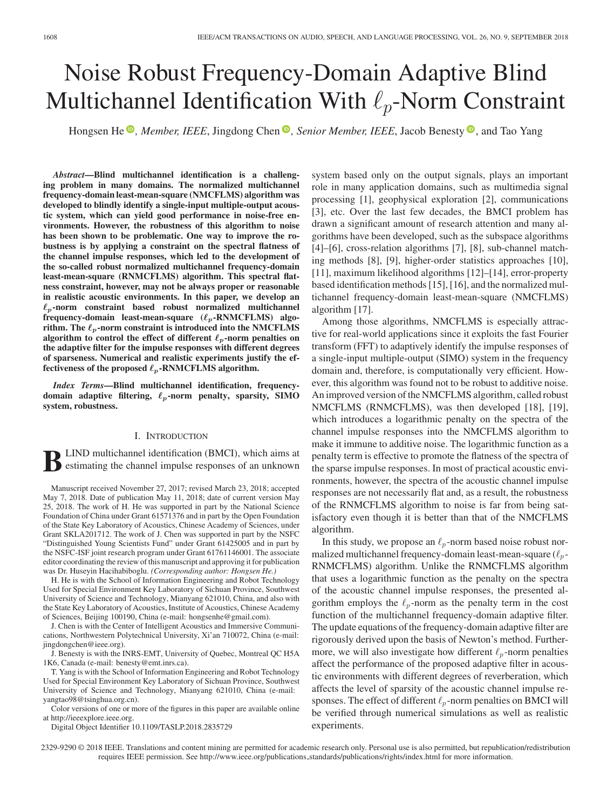# Noise Robust Frequency-Domain Adaptive Blind Multichannel Identification With  $\ell_p$ -Norm Constraint

Hongsen He<sup>(D)</sup>[,](https://orcid.org/0000-0002-0036-5865) *Member, IEEE*, Jingdong Chen<sup>(D)</sup>, *Senior Member, IEEE*, Jacob Benesty<sup>(D)</sup>, and Tao Yang

*Abstract***—Blind multichannel identification is a challenging problem in many domains. The normalized multichannel frequency-domain least-mean-square (NMCFLMS) algorithm was developed to blindly identify a single-input multiple-output acoustic system, which can yield good performance in noise-free environments. However, the robustness of this algorithm to noise has been shown to be problematic. One way to improve the robustness is by applying a constraint on the spectral flatness of the channel impulse responses, which led to the development of the so-called robust normalized multichannel frequency-domain least-mean-square (RNMCFLMS) algorithm. This spectral flatness constraint, however, may not be always proper or reasonable in realistic acoustic environments. In this paper, we develop an**  $\ell_p$ **-norm constraint based robust normalized multichannel** frequency-domain least-mean-square ( $\ell_p$ -RNMCFLMS) algorithm. The  $\ell_p$ -norm constraint is introduced into the NMCFLMS algorithm to control the effect of different  $\ell_p$ -norm penalties on **the adaptive filter for the impulse responses with different degrees of sparseness. Numerical and realistic experiments justify the ef**fectiveness of the proposed  $\ell_p$ -RNMCFLMS algorithm.

*Index Terms***—Blind multichannel identification, frequency**domain adaptive filtering,  $\ell_p$ -norm penalty, sparsity, SIMO **system, robustness.**

#### I. INTRODUCTION

**B**LIND multichannel identification (BMCI), which aims at estimating the channel impulse responses of an unknown

Manuscript received November 27, 2017; revised March 23, 2018; accepted May 7, 2018. Date of publication May 11, 2018; date of current version May 25, 2018. The work of H. He was supported in part by the National Science Foundation of China under Grant 61571376 and in part by the Open Foundation of the State Key Laboratory of Acoustics, Chinese Academy of Sciences, under Grant SKLA201712. The work of J. Chen was supported in part by the NSFC "Distinguished Young Scientists Fund" under Grant 61425005 and in part by the NSFC-ISF joint research program under Grant 61761146001. The associate editor coordinating the review of this manuscript and approving it for publication was Dr. Huseyin Hacihabiboglu. *(Corresponding author: Hongsen He.)*

H. He is with the School of Information Engineering and Robot Technology Used for Special Environment Key Laboratory of Sichuan Province, Southwest University of Science and Technology, Mianyang 621010, China, and also with the State Key Laboratory of Acoustics, Institute of Acoustics, Chinese Academy of Sciences, Beijing 100190, China (e-mail: hongsenhe@gmail.com).

J. Chen is with the Center of Intelligent Acoustics and Immersive Communications, Northwestern Polytechnical University, Xi'an 710072, China (e-mail:, [jingdongchen@ieee.org\)](mailto:jingdongchen@ieee.org).

J. Benesty is with the INRS-EMT, University of Quebec, Montreal QC H5A 1K6, Canada (e-mail: [benesty@emt.inrs.ca\)](mailto:benesty@emt.inrs.ca).

T. Yang is with the School of Information Engineering and Robot Technology Used for Special Environment Key Laboratory of Sichuan Province, Southwest University of Science and Technology, Mianyang 621010, China (e-mail: [yangtao98@tsinghua.org.cn\)](mailto:global advance reakcnt @ne penalty -@M yangtao98@tsinghua.org.cn).

Color versions of one or more of the figures in this paper are available online at http://ieeexplore.ieee.org.

Digital Object Identifier 10.1109/TASLP.2018.2835729

system based only on the output signals, plays an important role in many application domains, such as multimedia signal processing [1], geophysical exploration [2], communications [3], etc. Over the last few decades, the BMCI problem has drawn a significant amount of research attention and many algorithms have been developed, such as the subspace algorithms [4]–[6], cross-relation algorithms [7], [8], sub-channel matching methods [8], [9], higher-order statistics approaches [10], [11], maximum likelihood algorithms [12]–[14], error-property based identification methods [15], [16], and the normalized multichannel frequency-domain least-mean-square (NMCFLMS) algorithm [17].

Among those algorithms, NMCFLMS is especially attractive for real-world applications since it exploits the fast Fourier transform (FFT) to adaptively identify the impulse responses of a single-input multiple-output (SIMO) system in the frequency domain and, therefore, is computationally very efficient. However, this algorithm was found not to be robust to additive noise. An improved version of the NMCFLMS algorithm, called robust NMCFLMS (RNMCFLMS), was then developed [18], [19], which introduces a logarithmic penalty on the spectra of the channel impulse responses into the NMCFLMS algorithm to make it immune to additive noise. The logarithmic function as a penalty term is effective to promote the flatness of the spectra of the sparse impulse responses. In most of practical acoustic environments, however, the spectra of the acoustic channel impulse responses are not necessarily flat and, as a result, the robustness of the RNMCFLMS algorithm to noise is far from being satisfactory even though it is better than that of the NMCFLMS algorithm.

In this study, we propose an  $\ell_p$ -norm based noise robust normalized multichannel frequency-domain least-mean-square  $(\ell_p$ -RNMCFLMS) algorithm. Unlike the RNMCFLMS algorithm that uses a logarithmic function as the penalty on the spectra of the acoustic channel impulse responses, the presented algorithm employs the  $\ell_p$ -norm as the penalty term in the cost function of the multichannel frequency-domain adaptive filter. The update equations of the frequency-domain adaptive filter are rigorously derived upon the basis of Newton's method. Furthermore, we will also investigate how different  $\ell_p$ -norm penalties affect the performance of the proposed adaptive filter in acoustic environments with different degrees of reverberation, which affects the level of sparsity of the acoustic channel impulse responses. The effect of different  $\ell_p$ -norm penalties on BMCI will be verified through numerical simulations as well as realistic experiments.

2329-9290 © 2018 IEEE. Translations and content mining are permitted for academic research only. Personal use is also permitted, but republication/redistribution requires IEEE permission. See http://www.ieee.org/publications standards/publications/rights/index.html for more information.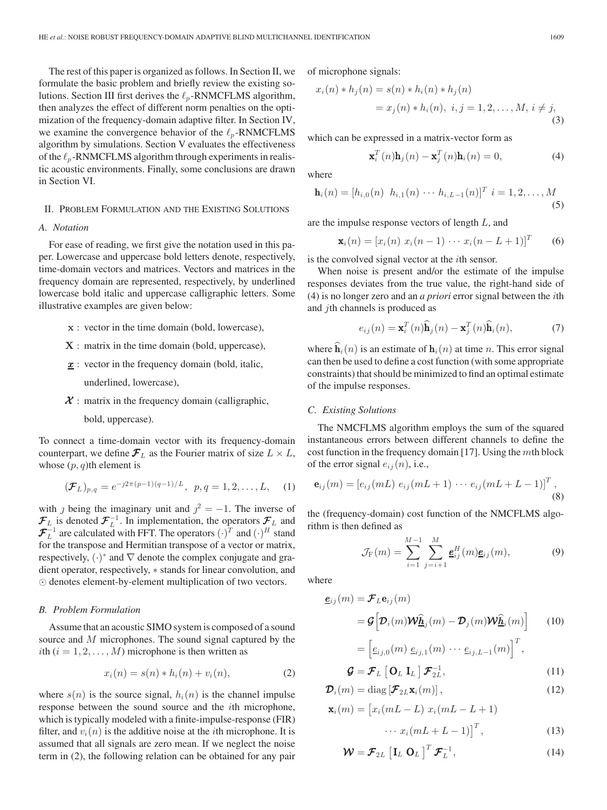The rest of this paper is organized as follows. In Section II, we formulate the basic problem and briefly review the existing solutions. Section III first derives the  $\ell_p$ -RNMCFLMS algorithm, then analyzes the effect of different norm penalties on the optimization of the frequency-domain adaptive filter. In Section IV, we examine the convergence behavior of the  $\ell_p$ -RNMCFLMS algorithm by simulations. Section V evaluates the effectiveness of the  $\ell_p$ -RNMCFLMS algorithm through experiments in realistic acoustic environments. Finally, some conclusions are drawn in Section VI.

## II. PROBLEM FORMULATION AND THE EXISTING SOLUTIONS

## *A. Notation*

For ease of reading, we first give the notation used in this paper. Lowercase and uppercase bold letters denote, respectively, time-domain vectors and matrices. Vectors and matrices in the frequency domain are represented, respectively, by underlined lowercase bold italic and uppercase calligraphic letters. Some illustrative examples are given below:

- **x** : vector in the time domain (bold, lowercase),
- **X** : matrix in the time domain (bold, uppercase),
- $\underline{\mathbf{x}}$ : vector in the frequency domain (bold, italic, underlined, lowercase),
- $\mathcal{X}$ : matrix in the frequency domain (calligraphic,

bold, uppercase).

To connect a time-domain vector with its frequency-domain counterpart, we define  $\mathcal{F}_L$  as the Fourier matrix of size  $L \times L$ , whose  $(p, q)$ th element is

$$
(\mathcal{F}_L)_{p,q} = e^{-j2\pi(p-1)(q-1)/L}, \ \ p,q = 1,2,\ldots,L,
$$
 (1)

with j being the imaginary unit and  $j^2 = -1$ . The inverse of  $\mathcal{F}_L$  is denoted  $\mathcal{F}_L^{-1}$ . In implementation, the operators  $\mathcal{F}_L$  and  $\mathcal{F}_L^{-1}$  are calculated with FFT. The operators  $(\cdot)^T$  and  $(\cdot)^H$  stand for the transpose and Hermitian transpose of a vector or matrix, respectively,  $(\cdot)^*$  and  $\nabla$  denote the complex conjugate and gradient operator, respectively, ∗ stands for linear convolution, and  $\odot$  denotes element-by-element multiplication of two vectors.

## *B. Problem Formulation*

Assume that an acoustic SIMO system is composed of a sound source and M microphones. The sound signal captured by the *i*th  $(i = 1, 2, ..., M)$  microphone is then written as

$$
x_i(n) = s(n) * h_i(n) + v_i(n),
$$
 (2)

where  $s(n)$  is the source signal,  $h_i(n)$  is the channel impulse response between the sound source and the ith microphone, which is typically modeled with a finite-impulse-response (FIR) filter, and  $v_i(n)$  is the additive noise at the *i*th microphone. It is assumed that all signals are zero mean. If we neglect the noise term in (2), the following relation can be obtained for any pair of microphone signals:

$$
x_i(n) * h_j(n) = s(n) * h_i(n) * h_j(n)
$$
  
=  $x_j(n) * h_i(n), i, j = 1, 2, ..., M, i \neq j,$   
(3)

which can be expressed in a matrix-vector form as

$$
\mathbf{x}_i^T(n)\mathbf{h}_j(n) - \mathbf{x}_j^T(n)\mathbf{h}_i(n) = 0,
$$
 (4)

where

$$
\mathbf{h}_{i}(n) = [h_{i,0}(n) \ \ h_{i,1}(n) \ \cdots \ h_{i,L-1}(n)]^{T} \ i = 1,2,\ldots,M
$$
\n(5)

are the impulse response vectors of length L, and

$$
\mathbf{x}_i(n) = [x_i(n) \ x_i(n-1) \ \cdots \ x_i(n-L+1)]^T \tag{6}
$$

is the convolved signal vector at the ith sensor.

When noise is present and/or the estimate of the impulse responses deviates from the true value, the right-hand side of (4) is no longer zero and an *a priori* error signal between the *i*th<br>and *j*th channels is produced as<br> $e_{ij}(n) = \mathbf{x}_i^T(n)\hat{\mathbf{h}}_j(n) - \mathbf{x}_j^T(n)\hat{\mathbf{h}}_i(n)$ , (7) and jth channels is produced as  $\ln a$ <br>l an  $a$   $\mu$ <br> $\ln a$ <br> $\frac{T}{i}(n)$ 

and *j*th channels is produced as  
\n
$$
e_{ij}(n) = \mathbf{x}_i^T(n)\hat{\mathbf{h}}_j(n) - \mathbf{x}_j^T(n)\hat{\mathbf{h}}_i(n),
$$
\nwhere  $\hat{\mathbf{h}}_i(n)$  is an estimate of  $\mathbf{h}_i(n)$  at time *n*. This error signal

can then be used to define a cost function (with some appropriate constraints) that should be minimized to find an optimal estimate of the impulse responses.

## *C. Existing Solutions*

The NMCFLMS algorithm employs the sum of the squared instantaneous errors between different channels to define the cost function in the frequency domain [17]. Using the mth block of the error signal  $e_{ij}(n)$ , i.e.,

$$
\mathbf{e}_{ij}(m) = [e_{ij}(mL) \ e_{ij}(mL+1) \ \cdots \ e_{ij}(mL+L-1)]^T,
$$
\n(8)

the (frequency-domain) cost function of the NMCFLMS algorithm is then defined as

$$
\mathcal{J}_{\mathbf{F}}(m) = \sum_{i=1}^{M-1} \sum_{j=i+1}^{M} \underline{\boldsymbol{e}}_{ij}^{H}(m) \underline{\boldsymbol{e}}_{ij}(m), \qquad (9)
$$

where

$$
\mathbf{e}_{ij}(m) = \mathcal{F}_L \mathbf{e}_{ij}(m)
$$
  
=  $\mathcal{G} \Big[ \mathcal{D}_i(m) \mathcal{W} \hat{\mathbf{h}}_j(m) - \mathcal{D}_j(m) \mathcal{W} \hat{\mathbf{h}}_i(m) \Big]$  (10)

$$
= \left[ \underline{e}_{ij,0}(m) \ \underline{e}_{ij,1}(m) \ \cdots \ \underline{e}_{ij,L-1}(m) \right] \ ,
$$

$$
\mathbf{G} = \mathbf{\mathcal{F}}_L \left[ \mathbf{O}_L \mathbf{I}_L \right] \mathbf{\mathcal{F}}_{2L}^{-1}, \tag{11}
$$

$$
\mathbf{G} = \mathbf{F}_L \left[ \mathbf{O}_L \mathbf{I}_L \right] \mathbf{F}_{2L}^{-1},
$$
\n
$$
\mathbf{D}_i(m) = \text{diag} \left[ \mathbf{F}_{2L} \mathbf{x}_i(m) \right],
$$
\n
$$
\mathbf{x}_i(m) = \left[ x_i(mL - L) \right] x_i(mL - L + 1)
$$
\n(12)

$$
\mathbf{D}_i(m) = \text{diag}\left[\mathbf{\mathcal{F}}_{2L}\mathbf{x}_i(m)\right],\tag{12}
$$
\n
$$
\mathbf{x}_i(m) = \left[x_i(mL - L) \ x_i(mL - L + 1)\right.\cdots x_i(mL + L - 1)\right]^T,\tag{13}
$$

$$
\mathbf{W} = \mathcal{F}_{2L} \left[ \mathbf{I}_{L} \mathbf{O}_{L} \right]^{T} \mathcal{F}_{L}^{-1}, \qquad (14)
$$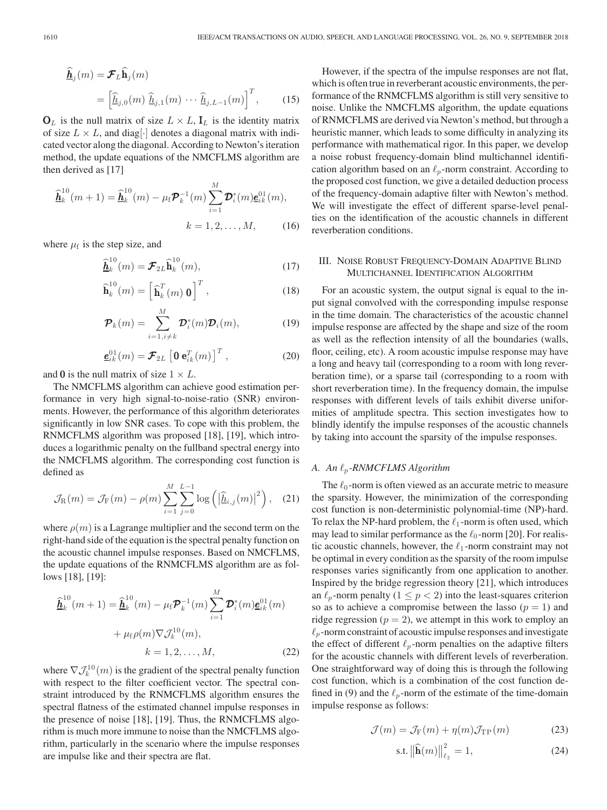IEEE/ACM TRANSACTIONS ON  
\n
$$
\hat{\mathbf{h}}_j(m) = \mathcal{F}_L \hat{\mathbf{h}}_j(m)
$$
\n
$$
= \left[ \hat{h}_{j,0}(m) \; \hat{h}_{j,1}(m) \; \cdots \; \hat{h}_{j,L-1}(m) \right]^T, \qquad (15)
$$

 $\mathbf{O}_L$  is the null matrix of size  $L \times L$ ,  $\mathbf{I}_L$  is the identity matrix of size  $L \times L$ , and diag[ $\cdot$ ] denotes a diagonal matrix with indicated vector along the diagonal. According to Newton's iteration method, the update equations of the NMCFLMS algorithm are then derived as [17]

the update equations of the NMCFLMS algorithm are

\n
$$
\hat{\mathbf{h}}_{k}^{10}(m+1) = \hat{\mathbf{h}}_{k}^{10}(m) - \mu_{\text{f}} \mathbf{P}_{k}^{-1}(m) \sum_{i=1}^{M} \mathbf{D}_{i}^{*}(m) \underline{\mathbf{e}}_{i k}^{01}(m),
$$
\n
$$
k = 1, 2, \dots, M, \qquad (16)
$$

where  $\mu_f$  is the step size, and

$$
\kappa = 1, 2, ..., M,
$$
 (16)  
the step size, and  

$$
\hat{\mathbf{h}}_k^{10}(m) = \mathcal{F}_{2L} \hat{\mathbf{h}}_k^{10}(m),
$$
 (17)  

$$
\hat{\mathbf{h}}_k^{10}(m) = \left[ \hat{\mathbf{h}}_k^T(m) \mathbf{0} \right]^T,
$$
 (18)

$$
\widehat{\mathbf{h}}_k^{10}(m) = \left[\widehat{\mathbf{h}}_k^T(m) \mathbf{0}\right]^T, \qquad (18)
$$
\n
$$
\mathbf{P}_k(m) = \sum_{i=1}^M \mathbf{D}_i^*(m) \mathbf{D}_i(m), \qquad (19)
$$

$$
\boldsymbol{\mathcal{P}}_k(m) = \sum_{i=1, i \neq k}^M \boldsymbol{\mathcal{D}}_i^*(m) \boldsymbol{\mathcal{D}}_i(m), \qquad (19)
$$

$$
\underline{\mathbf{e}}_{ik}^{01}(m) = \boldsymbol{\mathcal{F}}_{2L} \left[ \mathbf{0} \,\mathbf{e}_{ik}^T(m) \right]^T, \tag{20}
$$

and 0 is the null matrix of size  $1 \times L$ .

The NMCFLMS algorithm can achieve good estimation performance in very high signal-to-noise-ratio (SNR) environments. However, the performance of this algorithm deteriorates significantly in low SNR cases. To cope with this problem, the RNMCFLMS algorithm was proposed [18], [19], which introduces a logarithmic penalty on the fullband spectral energy into the NMCFLMS algorithm. The corresponding cost function is<br>defined as<br> $\mathcal{J}_{\text{R}}(m) = \mathcal{J}_{\text{F}}(m) - \rho(m) \sum_{i=1}^{M} \sum_{i=1}^{L-1} \log \left( \left| \hat{h}_{i,i}(m) \right|^2 \right),$  (21) defined as  $\frac{1}{2}$  ing cost  $\sum_{i=1}^{n}$ 

$$
\text{EMCFLMS algorithm. The corresponding cost function is} \text{find as} \n\mathcal{J}_{\text{R}}(m) = \mathcal{J}_{\text{F}}(m) - \rho(m) \sum_{i=1}^{M} \sum_{j=0}^{L-1} \log \left( \left| \widehat{\underline{h}}_{i,j}(m) \right|^2 \right), \quad (21)
$$

where  $\rho(m)$  is a Lagrange multiplier and the second term on the right-hand side of the equation is the spectral penalty function on the acoustic channel impulse responses. Based on NMCFLMS, the update equations of the RNMCFLMS algorithm are as fol-lows [18], [19]:

update equations of the RNMCFLMS algorithm are as fol-  
\n
$$
\hat{\mathbf{h}}_k^{10}(m+1) = \hat{\mathbf{h}}_k^{10}(m) - \mu_f \mathcal{P}_k^{-1}(m) \sum_{i=1}^M \mathcal{D}_i^*(m) \underline{e}_{ik}^{01}(m) + \mu_f \rho(m) \nabla \mathcal{J}_k^{10}(m),
$$
\n
$$
k = 1, 2, ..., M,
$$
\n(22)

where  $\nabla \mathcal{J}_k^{10}(m)$  is the gradient of the spectral penalty function with respect to the filter coefficient vector. The spectral constraint introduced by the RNMCFLMS algorithm ensures the spectral flatness of the estimated channel impulse responses in the presence of noise [18], [19]. Thus, the RNMCFLMS algorithm is much more immune to noise than the NMCFLMS algorithm, particularly in the scenario where the impulse responses are impulse like and their spectra are flat.

However, if the spectra of the impulse responses are not flat, which is often true in reverberant acoustic environments, the performance of the RNMCFLMS algorithm is still very sensitive to noise. Unlike the NMCFLMS algorithm, the update equations of RNMCFLMS are derived via Newton's method, but through a heuristic manner, which leads to some difficulty in analyzing its performance with mathematical rigor. In this paper, we develop a noise robust frequency-domain blind multichannel identification algorithm based on an  $\ell_p$ -norm constraint. According to the proposed cost function, we give a detailed deduction process of the frequency-domain adaptive filter with Newton's method. We will investigate the effect of different sparse-level penalties on the identification of the acoustic channels in different reverberation conditions.

## III. NOISE ROBUST FREQUENCY-DOMAIN ADAPTIVE BLIND MULTICHANNEL IDENTIFICATION ALGORITHM

For an acoustic system, the output signal is equal to the input signal convolved with the corresponding impulse response in the time domain. The characteristics of the acoustic channel impulse response are affected by the shape and size of the room as well as the reflection intensity of all the boundaries (walls, floor, ceiling, etc). A room acoustic impulse response may have a long and heavy tail (corresponding to a room with long reverberation time), or a sparse tail (corresponding to a room with short reverberation time). In the frequency domain, the impulse responses with different levels of tails exhibit diverse uniformities of amplitude spectra. This section investigates how to blindly identify the impulse responses of the acoustic channels by taking into account the sparsity of the impulse responses.

# *A. An* -<sup>p</sup> *-RNMCFLMS Algorithm*

The  $\ell_0$ -norm is often viewed as an accurate metric to measure the sparsity. However, the minimization of the corresponding cost function is non-deterministic polynomial-time (NP)-hard. To relax the NP-hard problem, the  $\ell_1$ -norm is often used, which may lead to similar performance as the  $\ell_0$ -norm [20]. For realistic acoustic channels, however, the  $\ell_1$ -norm constraint may not be optimal in every condition as the sparsity of the room impulse responses varies significantly from one application to another. Inspired by the bridge regression theory [21], which introduces an  $\ell_p$ -norm penalty ( $1 \le p < 2$ ) into the least-squares criterion so as to achieve a compromise between the lasso  $(p = 1)$  and ridge regression ( $p = 2$ ), we attempt in this work to employ an  $\ell_p$ -norm constraint of acoustic impulse responses and investigate the effect of different  $\ell_p$ -norm penalties on the adaptive filters for the acoustic channels with different levels of reverberation. One straightforward way of doing this is through the following cost function, which is a combination of the cost function defined in (9) and the  $\ell_p$ -norm of the estimate of the time-domain impulse response as follows:<br>  $\mathcal{J}(m) = \mathcal{J}_{\mathrm{F}}(n)$ <br>
s.t.  $\|\hat{\mathbf{h}}(n)\|$ 

$$
\mathcal{J}(m) = \mathcal{J}_{\mathcal{F}}(m) + \eta(m)\mathcal{J}_{\mathcal{TP}}(m) \tag{23}
$$

s.t. 
$$
\|\hat{\mathbf{h}}(m)\|_{\ell_2}^2 = 1,
$$
 (24)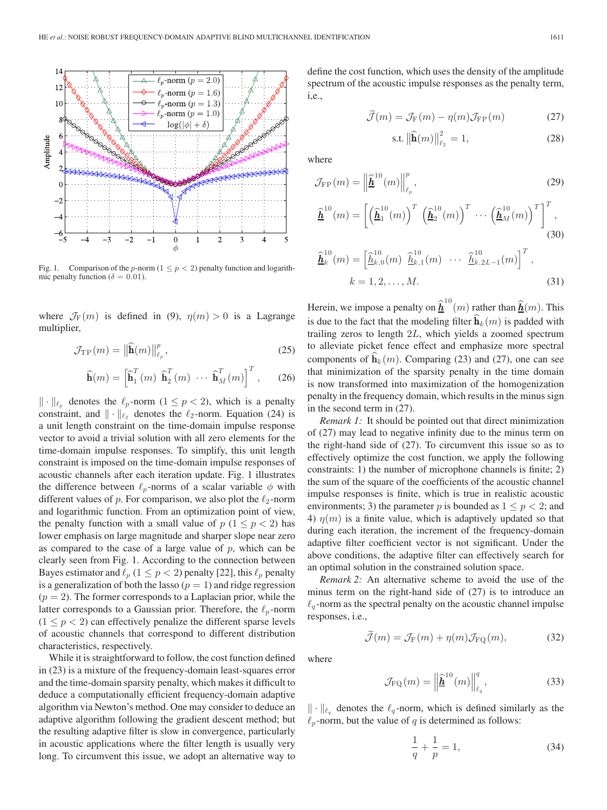

Fig. 1. Comparison of the p-norm ( $1 \le p < 2$ ) penalty function and logarithmic penalty function ( $\delta = 0.01$ ).

where  $\mathcal{J}_{F}(m)$  is defined in (9),  $\eta(m) > 0$  is a Lagrange<br>multiplier,<br> $\mathcal{J}_{TP}(m) = ||\hat{\mathbf{h}}(m)||_{\ell_p}^p$ , (25) multiplier,

$$
\mathcal{J}_{\mathrm{TP}}(m) = \left\| \widehat{\mathbf{h}}(m) \right\|_{\ell_p}^p, \tag{25}
$$

$$
E_{\rm P}(m) = \left\| \widehat{\mathbf{h}}(m) \right\|_{\ell_p}^p, \tag{25}
$$

$$
\widehat{\mathbf{h}}(m) = \left[ \widehat{\mathbf{h}}_1^T(m) \ \widehat{\mathbf{h}}_2^T(m) \ \cdots \ \widehat{\mathbf{h}}_M^T(m) \right]^T, \tag{26}
$$

 $\|\cdot\|_{\ell_p}$  denotes the  $\ell_p$ -norm  $(1 \le p < 2)$ , which is a penalty constraint, and  $\|\cdot\|_{\ell_2}$  denotes the  $\ell_2$ -norm. Equation (24) is a unit length constraint on the time-domain impulse response vector to avoid a trivial solution with all zero elements for the time-domain impulse responses. To simplify, this unit length constraint is imposed on the time-domain impulse responses of acoustic channels after each iteration update. Fig. 1 illustrates the difference between  $\ell_p$ -norms of a scalar variable  $\phi$  with different values of p. For comparison, we also plot the  $\ell_2$ -norm and logarithmic function. From an optimization point of view, the penalty function with a small value of  $p (1 \leq p < 2)$  has lower emphasis on large magnitude and sharper slope near zero as compared to the case of a large value of  $p$ , which can be clearly seen from Fig. 1. According to the connection between Bayes estimator and  $\ell_p$  ( $1 \leq p < 2$ ) penalty [22], this  $\ell_p$  penalty is a generalization of both the lasso ( $p = 1$ ) and ridge regression  $(p = 2)$ . The former corresponds to a Laplacian prior, while the latter corresponds to a Gaussian prior. Therefore, the  $\ell_p$ -norm  $(1 \leq p < 2)$  can effectively penalize the different sparse levels of acoustic channels that correspond to different distribution characteristics, respectively.

While it is straightforward to follow, the cost function defined in (23) is a mixture of the frequency-domain least-squares error and the time-domain sparsity penalty, which makes it difficult to deduce a computationally efficient frequency-domain adaptive algorithm via Newton's method. One may consider to deduce an adaptive algorithm following the gradient descent method; but the resulting adaptive filter is slow in convergence, particularly in acoustic applications where the filter length is usually very long. To circumvent this issue, we adopt an alternative way to define the cost function, which uses the density of the amplitude spectrum of the acoustic impulse responses as the penalty term,<br>i,e.,<br> $\tilde{J}(m) = J_F(m) - \eta(m)J_{FP}(m)$  (27) i,e.,

$$
\widetilde{\mathcal{J}}(m) = \mathcal{J}_{\mathcal{F}}(m) - \eta(m)\mathcal{J}_{\mathcal{F}\mathcal{P}}(m)
$$
\n
$$
\text{s.t. } ||\widehat{\mathbf{h}}(m)||_{\ell_{\circ}}^{2} = 1,
$$
\n(28)

s.t. 
$$
\|\hat{\mathbf{h}}(m)\|_{\ell_2}^2 = 1,
$$
 (28)

where

$$
\mathcal{J}_{\text{FP}}(m) = \left\| \widehat{\underline{\mathbf{h}}}^{10}(m) \right\|_{\ell_p}^p, \tag{29}
$$
\n
$$
\widehat{\underline{\mathbf{h}}}^{10}(m) = \left[ \left( \widehat{\underline{\mathbf{h}}}^{10}(m) \right)^T \left( \widehat{\underline{\mathbf{h}}}^{10}(m) \right)^T \cdots \left( \widehat{\underline{\mathbf{h}}}^{10}(m) \right)^T \right]^T,
$$

$$
\begin{split}\n\widehat{\underline{\mathbf{h}}}^{10}(m) &= \left[ \left( \widehat{\underline{\mathbf{h}}}^{10}_1(m) \right)^T \left( \widehat{\underline{\mathbf{h}}}^{10}_2(m) \right)^T \cdots \left( \widehat{\underline{\mathbf{h}}}^{10}_M(m) \right)^T \right]^T, \\
\widehat{\underline{\mathbf{h}}}^{10}_k(m) &= \left[ \widehat{\underline{\mathbf{h}}}^{10}_{k,0}(m) \ \widehat{\underline{\mathbf{h}}}^{10}_{k,1}(m) \ \cdots \ \widehat{\underline{\mathbf{h}}}^{10}_{k,2L-1}(m) \right]^T,\n\end{split}
$$

$$
\begin{aligned}\n\widehat{\underline{\mathbf{h}}}_{k}^{10}(m) &= \left[\widehat{\underline{h}}_{k,0}^{10}(m) \ \widehat{\underline{h}}_{k,1}^{10}(m) \ \cdots \ \widehat{\underline{h}}_{k,2L-1}^{10}(m)\right]^{T}, \\
k &= 1,2,\ldots,M.\n\end{aligned} \tag{31}
$$
\nHerein, we impose a penalty on  $\widehat{\underline{\mathbf{h}}}^{10}(m)$  rather than  $\widehat{\underline{\mathbf{h}}}(m)$ . This

 $k = 1, 2, ..., M.$ <br>Herein, we impose a penalty on  $\hat{\mathbf{h}}^{10}(m)$  ra<br>is due to the fact that the modeling filter  $\hat{\mathbf{h}}$ is due to the fact that the modeling filter  $\mathbf{h}_k(m)$  is padded with trailing zeros to length 2L, which yields a zoomed spectrum to alleviate picket fence effect and emphasize more spectral is due to the fact that the modeling filter  $h_k(m)$  is padded with trailing zeros to length 2L, which yields a zoomed spectrum to alleviate picket fence effect and emphasize more spectral components of  $\hat{h}_k(m)$ . Comparin that minimization of the sparsity penalty in the time domain is now transformed into maximization of the homogenization penalty in the frequency domain, which results in the minus sign in the second term in (27).

*Remark 1:* It should be pointed out that direct minimization of (27) may lead to negative infinity due to the minus term on the right-hand side of (27). To circumvent this issue so as to effectively optimize the cost function, we apply the following constraints: 1) the number of microphone channels is finite; 2) the sum of the square of the coefficients of the acoustic channel impulse responses is finite, which is true in realistic acoustic environments; 3) the parameter p is bounded as  $1 \le p < 2$ ; and 4)  $\eta(m)$  is a finite value, which is adaptively updated so that during each iteration, the increment of the frequency-domain adaptive filter coefficient vector is not significant. Under the above conditions, the adaptive filter can effectively search for an optimal solution in the constrained solution space.

*Remark 2:* An alternative scheme to avoid the use of the minus term on the right-hand side of (27) is to introduce an  $\ell_q$ -norm as the spectral penalty on the acoustic channel impulse<br>responses, i.e.,<br> $\tilde{\mathcal{J}}(m) = \mathcal{J}_{\text{F}}(m) + \eta(m) \mathcal{J}_{\text{FQ}}(m)$ , (32) responses, i.e.,

$$
\widetilde{\mathcal{J}}(m) = \mathcal{J}_{\mathcal{F}}(m) + \eta(m)\mathcal{J}_{\mathcal{F}\mathcal{Q}}(m),\tag{32}
$$

where

$$
\mathcal{J}_{\text{FQ}}(m) = \left\| \widehat{\underline{\mathbf{h}}}^{10}(m) \right\|_{\ell_q}^q, \tag{33}
$$

 $\|\cdot\|_{\ell_q}$  denotes the  $\ell_q$ -norm, which is defined similarly as the  $\ell_p$ -norm, but the value of q is determined as follows:

$$
\frac{1}{q} + \frac{1}{p} = 1,\t(34)
$$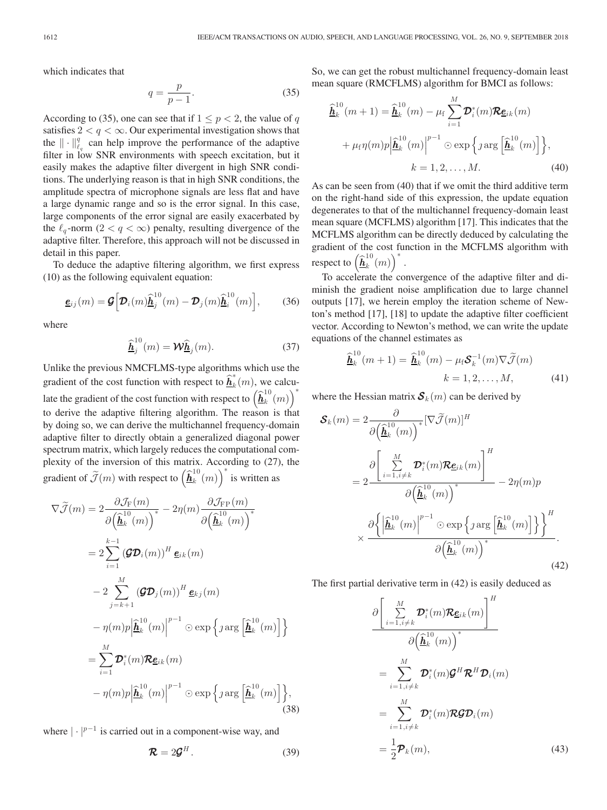which indicates that

$$
q = \frac{p}{p-1}.\tag{35}
$$

According to (35), one can see that if  $1 \le p < 2$ , the value of q satisfies  $2 < q < \infty$ . Our experimental investigation shows that the  $\|\cdot\|_{\ell_q}^q$  can help improve the performance of the adaptive filter in low SNR environments with speech excitation, but it easily makes the adaptive filter divergent in high SNR conditions. The underlying reason is that in high SNR conditions, the amplitude spectra of microphone signals are less flat and have a large dynamic range and so is the error signal. In this case, large components of the error signal are easily exacerbated by the  $\ell_q$ -norm  $(2 < q < \infty)$  penalty, resulting divergence of the adaptive filter. Therefore, this approach will not be discussed in detail in this paper. J

To deduce the adaptive filtering algorithm, we first express<br>
(b) as the following equivalent equation:<br>  $\underline{\mathbf{e}}_{ij}(m) = \mathbf{G} \Big[ \mathbf{D}_i(m) \hat{\mathbf{h}}_j^{10}(m) - \mathbf{D}_j(m) \hat{\mathbf{h}}_i^{10}(m) \Big],$  (36) (10) as the following equivalent equation:

$$
\underline{\boldsymbol{e}}_{ij}(m) = \boldsymbol{G} \Big[ \boldsymbol{D}_i(m) \underline{\hat{\boldsymbol{h}}}_j^{10}(m) - \boldsymbol{D}_j(m) \underline{\hat{\boldsymbol{h}}}_i^{10}(m) \Big], \qquad (36)
$$

where

$$
\hat{\mathbf{h}}_j^{10}(m) = \mathbf{W}\hat{\mathbf{h}}_j(m). \tag{37}
$$

Unlike the previous NMCFLMS-type algorithms which use the - $\underline{\hat{h}}_j^{\text{tot}}(m) = \mathbf{W} \underline{\hat{h}}_j(m)$ . (37)<br>Unlike the previous NMCFLMS-type algorithms which use the<br>gradient of the cost function with respect to  $\underline{\hat{h}}_k^*(m)$ , we calcu-Unlike the previous NMCFLMS-type algorithms which use the gradient of the cost function with respect to  $\hat{\mathbf{h}}_k^*(m)$ , we calculate the gradient of the cost function with respect to  $(\hat{\mathbf{h}}_k^{10}(m))^*$ to derive the adaptive filtering algorithm. The reason is that by doing so, we can derive the multichannel frequency-domain adaptive filter to directly obtain a generalized diagonal power spectrum matrix, which largely reduces the computational complexity of the inversion of this matrix. According to (27), the adaptive filter to directly obtain a generalized diagonal p<br>spectrum matrix, which largely reduces the computational  $\alpha$ <br>plexity of the inversion of this matrix. According to (27)<br>gradient of  $\tilde{J}(m)$  with respect to  $\overline{z}$ spect to  $\left(\widehat{\boldsymbol{h}}_{\scriptscriptstyle{L}}^{10}\right)(m)$  $\overline{\phantom{a}}$ vr

$$
\nabla \widetilde{\mathcal{J}}(m) = 2 \frac{\partial \mathcal{J}_{\mathrm{F}}(m)}{\partial (\widehat{\mathbf{h}}_{k}^{10}(m))^{*}} - 2\eta(m) \frac{\partial \mathcal{J}_{\mathrm{FP}}(m)}{\partial (\widehat{\mathbf{h}}_{k}^{10}(m))^{*}}
$$
  
\n
$$
= 2 \sum_{i=1}^{k-1} (\mathbf{G} \mathbf{D}_{i}(m))^{H} \underline{\mathbf{e}}_{ik}(m)
$$
  
\n
$$
- 2 \sum_{j=k+1}^{M} (\mathbf{G} \mathbf{D}_{j}(m))^{H} \underline{\mathbf{e}}_{kj}(m)
$$
  
\n
$$
- \eta(m) p |\widehat{\mathbf{h}}_{k}^{10}(m)|^{p-1} \odot \exp \left\{ j \arg \left[ \widehat{\mathbf{h}}_{k}^{10}(m) \right] \right\}
$$
  
\n
$$
= \sum_{i=1}^{M} \mathbf{D}_{i}^{*}(m) \mathbf{R} \underline{\mathbf{e}}_{ik}(m)
$$
  
\n
$$
- \eta(m) p |\widehat{\mathbf{h}}_{k}^{10}(m)|^{p-1} \odot \exp \left\{ j \arg \left[ \widehat{\mathbf{h}}_{k}^{10}(m) \right] \right\}, \tag{38}
$$

where  $|\cdot|^{p-1}$  is carried out in a component-wise way, and

$$
\mathcal{R} = 2\mathcal{G}^H. \tag{39}
$$

So, we can get the robust multichannel frequency-domain least mean square (RMCFLMS) algorithm for BMCI as follows:

we can get the robust multichannel frequency-domain least  
\nn square (RMCFLMS) algorithm for BMCI as follows:  
\n
$$
\hat{\mathbf{h}}_k^{10}(m+1) = \hat{\mathbf{h}}_k^{10}(m) - \mu_f \sum_{i=1}^M \mathbf{\mathcal{D}}_i^*(m) \mathbf{\mathcal{R}} \underline{\mathbf{\epsilon}}_{ik}(m)
$$
\n
$$
+ \mu_f \eta(m) p \left| \hat{\mathbf{h}}_k^{10}(m) \right|^{p-1} \odot \exp \left\{ j \arg \left[ \hat{\mathbf{h}}_k^{10}(m) \right] \right\},
$$
\n
$$
k = 1, 2, ..., M. \tag{40}
$$

As can be seen from (40) that if we omit the third additive term on the right-hand side of this expression, the update equation degenerates to that of the multichannel frequency-domain least mean square (MCFLMS) algorithm [17]. This indicates that the MCFLMS algorithm can be directly deduced by calculating the gradient of the cost function in the MCFLMS algorithm with mean square (MCFLM)<br>
MCFLMS algorithm ca<br>
gradient of the cost function<br>
respect to  $\left(\frac{\hat{\mathbf{h}}_k^{10}(m)}{k}\right)^*$ . ñ

To accelerate the convergence of the adaptive filter and diminish the gradient noise amplification due to large channel outputs [17], we herein employ the iteration scheme of Newton's method [17], [18] to update the adaptive filter coefficient vector. According to Newton's method, we can write the update<br>equations of the channel estimates as<br> $\hat{\mathbf{h}}_k^{10}(m+1) = \hat{\mathbf{h}}_k^{10}(m) - \mu_f \mathbf{S}_k^{-1}(m) \nabla \tilde{\mathcal{J}}(m)$ equations of the channel estimates as

$$
\widehat{\underline{\mathbf{h}}}^{10}_k(m+1) = \widehat{\underline{\mathbf{h}}}^{10}_k(m) - \mu_{\text{f}} \mathbf{S}_k^{-1}(m) \nabla \widetilde{\mathcal{J}}(m)
$$
\n
$$
k = 1, 2, \dots, M,\tag{41}
$$

where the Hessian matrix  $\mathcal{S}_k(m)$  can be derived by

here the Hessian matrix 
$$
\mathcal{S}_k(m)
$$
 can be derived by  
\n
$$
\mathcal{S}_k(m) = 2 \frac{\partial}{\partial \left(\hat{\underline{\mathbf{h}}}_k^{10}(m)\right)^*} [\nabla \tilde{\mathcal{J}}(m)]^H
$$
\n
$$
= 2 \frac{\partial \left[\sum_{i=1, i \neq k}^M \mathcal{D}_i^*(m) \mathcal{R} \underline{\mathbf{e}}_{ik}(m)\right]^H}{\partial \left(\hat{\underline{\mathbf{h}}}_k^{10}(m)\right)^*} - 2\eta(m)p
$$
\n
$$
\times \frac{\partial \left\{\left|\hat{\underline{\mathbf{h}}}_k^{10}(m)\right|^{p-1} \odot \exp \left\{\jmath \arg \left[\hat{\underline{\mathbf{h}}}_k^{10}(m)\right]\right\}\right\}^H}{\partial \left(\hat{\underline{\mathbf{h}}}_k^{10}(m)\right)^*}.
$$
\n(42)

The first partial derivative term in (42) is easily deduced as derivati

$$
\frac{\partial \left[\sum_{i=1, i \neq k}^{M} \mathcal{D}_i^*(m) \mathcal{R} \underline{\mathbf{e}}_{ik}(m)\right]^H}{\partial \left(\widehat{\underline{\mathbf{h}}}_k^{10}(m)\right)^*}
$$
\n
$$
= \sum_{i=1, i \neq k}^{M} \mathcal{D}_i^*(m) \mathcal{G}^H \mathcal{R}^H \mathcal{D}_i(m)
$$
\n
$$
= \sum_{i=1, i \neq k}^{M} \mathcal{D}_i^*(m) \mathcal{R} \mathcal{G} \mathcal{D}_i(m)
$$
\n
$$
= \frac{1}{2} \mathcal{P}_k(m), \tag{43}
$$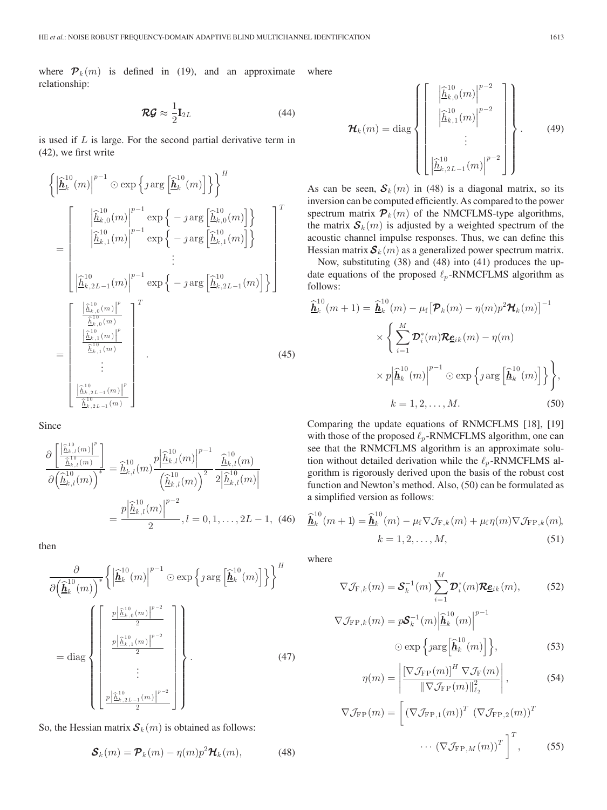where  $P_k(m)$  is defined in (19), and an approximate relationship:

$$
\mathcal{RG} \approx \frac{1}{2} \mathbf{I}_{2L} \tag{44}
$$

is used if *L* is large. For the second partial derivative term in<br>
(42), we first write<br>  $\left\{ \left| \underline{\hat{\mathbf{h}}}_k^{10}(m) \right|^{p-1} \odot \exp \left\{ \jmath \arg \left[ \underline{\hat{\mathbf{h}}}_k^{10}(m) \right] \right\} \right\}^H$  $(42)$ , we first write rtial

$$
\left\{\left|\hat{\mathbf{h}}_{k}^{10}(m)\right|^{p-1} \odot \exp\left\{\jmath \arg\left[\hat{\mathbf{h}}_{k}^{10}(m)\right]\right\}\right\}^{H}
$$
\n
$$
= \begin{bmatrix}\n\left|\frac{\hat{h}}{h_{k,0}}(m)\right|^{p-1} \exp\left\{-\jmath \arg\left[\hat{h}_{k,0}^{10}(m)\right]\right\} \\
\left|\frac{\hat{h}}{h_{k,1}}(m)\right|^{p-1} \exp\left\{-\jmath \arg\left[\hat{h}_{k,1}^{10}(m)\right]\right\} \\
\vdots \\
\left|\frac{\hat{h}}{h_{k,2L-1}}(m)\right|^{p-1} \exp\left\{-\jmath \arg\left[\hat{h}_{k,2L-1}^{10}(m)\right]\right\}\n\end{bmatrix}
$$
\n
$$
= \begin{bmatrix}\n\frac{\left|\hat{h}_{k,0}^{10}(m)\right|^{p}}{\hat{h}_{k,0}} \\
\frac{\left|\hat{h}_{k,1}^{10}(m)\right|^{p}}{\hat{h}_{k,1}} \\
\vdots \\
\frac{\left|\hat{h}_{k,2L-1}^{10}(m)\right|^{p}}{\hat{h}_{k,2L-1}}\n\end{bmatrix}^{T}
$$
\n(45)

Since

since  
\n
$$
\frac{\partial \left[ \frac{\left| \hat{L}_{k,l}^{10}(m) \right|^{p}}{\hat{L}_{k,l}^{10}(m)} \right]}{\partial \left( \hat{h}_{k,l}^{10}(m) \right)^{*}} = \hat{h}_{k,l}^{10}(m) \frac{p \left| \hat{h}_{k,l}^{10}(m) \right|^{p-1}}{\left( \hat{h}_{k,l}^{10}(m) \right)^{2}} \frac{\hat{h}_{k,l}^{10}(m)}{2 \left| \hat{h}_{k,l}^{10}(m) \right|}
$$
\n
$$
= \frac{p \left| \hat{h}_{k,l}^{10}(m) \right|^{p-2}}{2}, l = 0, 1, \dots, 2L - 1, (46)
$$

then

en  
\n
$$
\frac{\partial}{\partial \left(\hat{\mathbf{h}}_k^{10}(m)\right)^*} \left\{ \left| \hat{\mathbf{h}}_k^{10}(m) \right|^{p-1} \odot \exp \left\{ j \arg \left[ \hat{\mathbf{h}}_k^{10}(m) \right] \right\} \right\}^H
$$
\n
$$
= \text{diag}\left\{ \left| \frac{p \left| \hat{\mathbf{h}}_{k,0}^{10}(m) \right|^{p-2}}{2} \right| \right\}.
$$
\n
$$
\vdots
$$
\n
$$
p \left| \hat{\mathbf{h}}_{k,2L-1}^{10}(m) \right|^{p-2} \right\}.
$$
\n(47)

So, the Hessian matrix  $\mathcal{S}_k(m)$  is obtained as follows:

$$
\mathcal{S}_k(m) = \mathcal{P}_k(m) - \eta(m) p^2 \mathcal{H}_k(m), \tag{48}
$$

where

$$
\mathbf{\mathcal{H}}_{k}(m) = \text{diag}\left\{\begin{bmatrix} \left|\frac{\widehat{h}^{10}_{k,0}(m)}{h_{k,0}^{10}(m)}\right|^{p-2} \\ \left|\frac{\widehat{h}^{10}_{k,1}(m)}{h_{k,2L-1}(m)}\right|^{p-2} \\ \vdots \end{bmatrix}\right\}.
$$
 (49)

As can be seen,  $S_k(m)$  in (48) is a diagonal matrix, so its inversion can be computed efficiently. As compared to the power spectrum matrix  $\mathbf{P}_k(m)$  of the NMCFLMS-type algorithms, the matrix  $S_k(m)$  is adjusted by a weighted spectrum of the acoustic channel impulse responses. Thus, we can define this Hessian matrix  $S_k(m)$  as a generalized power spectrum matrix.

Now, substituting (38) and (48) into (41) produces the update equations of the proposed  $\ell_p$ -RNMCFLMS algorithm as<br>follows:<br> $\hat{\underline{\mathbf{h}}}_k^{10}(m+1) = \hat{\underline{\mathbf{h}}}_k^{10}(m) - \mu_f[\mathbf{P}_k(m) - \eta(m)p^2 \mathbf{H}_k(m)]^{-1}$ follows: #

$$
\begin{split} \widehat{\underline{\mathbf{h}}}^{10}_{k}(m+1) &= \widehat{\underline{\mathbf{h}}}^{10}_{k}(m) - \mu_{\mathrm{f}} \big[ \boldsymbol{\mathcal{P}}_{k}(m) - \eta(m) p^{2} \boldsymbol{\mathcal{H}}_{k}(m) \big]^{-1} \\ &\times \Bigg\{ \sum_{i=1}^{M} \boldsymbol{\mathcal{D}}_{i}^{*}(m) \boldsymbol{\mathcal{R}} \underline{\mathbf{e}}_{ik}(m) - \eta(m) \\ &\times p \Big| \widehat{\underline{\mathbf{h}}}^{10}_{k}(m) \Big|^{p-1} \odot \exp \Big\{ j \arg \Big[ \widehat{\underline{\mathbf{h}}}^{10}_{k}(m) \Big] \Big\} \Bigg\}, \\ k &= 1, 2, \dots, M. \end{split}
$$
\n
$$
(50)
$$

Comparing the update equations of RNMCFLMS [18], [19] with those of the proposed  $\ell_p$ -RNMCFLMS algorithm, one can see that the RNMCFLMS algorithm is an approximate solution without detailed derivation while the  $\ell_p$ -RNMCFLMS algorithm is rigorously derived upon the basis of the robust cost function and Newton's method. Also, (50) can be formulated as a simplified version as follows: exercise and New<br>simplified vers<br> $\lim_{k \to 0} \frac{10}{(m + 1)} = \hat{h}$ 

$$
\widehat{\underline{\mathbf{h}}}^{10}_k(m+1) = \widehat{\underline{\mathbf{h}}}^{10}_k(m) - \mu_f \nabla \mathcal{J}_{F,k}(m) + \mu_f \eta(m) \nabla \mathcal{J}_{\text{FP},k}(m),
$$
\n
$$
k = 1, 2, \dots, M,
$$
\n(51)

where

$$
\nabla \mathcal{J}_{\mathbf{F},k}(m) = \mathcal{S}_k^{-1}(m) \sum_{i=1}^M \mathcal{D}_i^*(m) \mathcal{R} \underline{\mathbf{e}}_{ik}(m), \tag{52}
$$

$$
{}^{i=1}\nabla \mathcal{J}_{\text{FP},k}(m) = p\mathcal{S}_k^{-1}(m) \left| \frac{\hat{\mathbf{h}}_k^{10}(m)}{\hat{\mathbf{h}}_k^{10}(m)} \right|^{p-1}
$$

$$
\odot \exp\left\{j\arg\left[ \frac{\hat{\mathbf{h}}_k^{10}(m)}{\hat{\mathbf{h}}_k^{10}(m)} \right] \right\},\tag{53}
$$

$$
\eta(m) = \left| \frac{\left[\nabla \mathcal{J}_{\text{FP}}(m)\right]^{H} \nabla \mathcal{J}_{\text{F}}(m)}{\left\|\nabla \mathcal{J}_{\text{FP}}(m)\right\|_{\ell_{2}}^{2}} \right|, \tag{54}
$$
\n
$$
\nabla \mathcal{J}_{\text{FP}}(m) = \left[ \left(\nabla \mathcal{J}_{\text{FP},1}(m)\right)^{T} \left(\nabla \mathcal{J}_{\text{FP},2}(m)\right)^{T} \right]
$$

$$
\nabla \mathcal{J}_{\text{FP}}(m) = \left[ \left( \nabla \mathcal{J}_{\text{FP},1}(m) \right)^T \left( \nabla \mathcal{J}_{\text{FP},2}(m) \right)^T - \cdots \left( \nabla \mathcal{J}_{\text{FP},M}(m) \right)^T \right]^T, \quad (55)
$$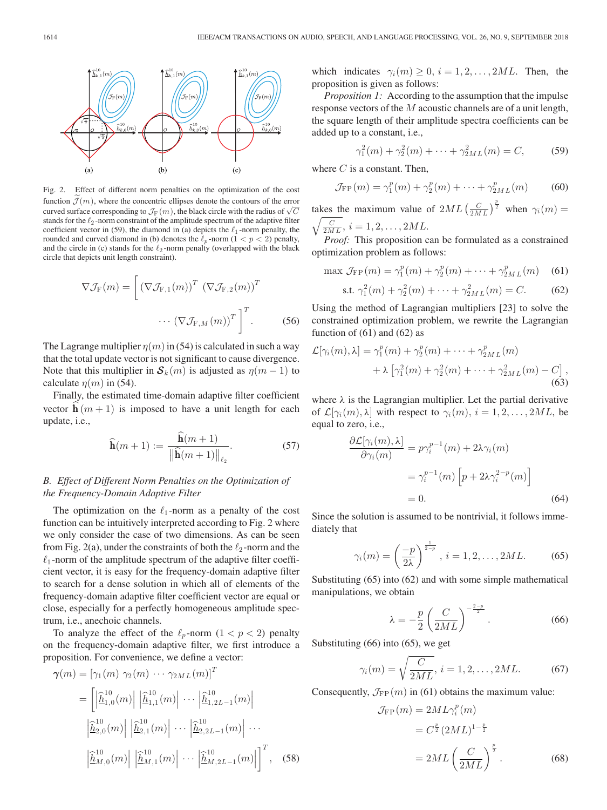

Fig. 2. Effect of different norm penalties on the optimization of the cost (a) (b) (c)<br>Fig. 2. Effect of different norm penalties on the optimization of the cost<br>function  $\tilde{J}(m)$ , where the concentric ellipses denote the contours of the error curved surface corresponding to  $\mathcal{J}_F(m)$ , the black circle with the radius of  $\sqrt{C}$ stands for the  $\ell_2$ -norm constraint of the amplitude spectrum of the adaptive filter coefficient vector in (59), the diamond in (a) depicts the  $\ell_1$ -norm penalty, the rounded and curved diamond in (b) denotes the  $\ell_p$ -norm (1 < p < 2) penalty,<br>and the circle in (c) stands for the  $\ell_2$ -norm penalty (overlapped with the black<br>circle that depicts unit length constraint).<br> $\nabla \mathcal{J}_F(m) =$ and the circle in (c) stands for the  $\ell_2$ -norm penalty (overlapped with the black circle that depicts unit length constraint).

$$
\nabla \mathcal{J}_{\mathcal{F}}(m) = \left[ \left( \nabla \mathcal{J}_{\mathcal{F},1}(m) \right)^T \left( \nabla \mathcal{J}_{\mathcal{F},2}(m) \right)^T - \cdots \left( \nabla \mathcal{J}_{\mathcal{F},M}(m) \right)^T \right]^T.
$$
 (56)

The Lagrange multiplier  $\eta(m)$  in (54) is calculated in such a way that the total update vector is not significant to cause divergence. Note that this multiplier in  $S_k(m)$  is adjusted as  $\eta(m-1)$  to calculate  $\eta(m)$  in (54).

Finally, the estimated time-domain adaptive filter coefficient Note tha<br>calculate<br>Finally<br>vector  $\hat{\mathbf{h}}$  $\hat{\mathbf{h}}(m+1)$  is imposed to have a unit length for each<br>i.e.,<br> $\hat{\mathbf{h}}(m+1) := \frac{\hat{\mathbf{h}}(m+1)}{\sum_{k=1}^{n} m_k}$ . (57) update, i.e.,

(1) is imposed to have a unit length for each

\n
$$
\hat{\mathbf{h}}(m+1) := \frac{\hat{\mathbf{h}}(m+1)}{\|\hat{\mathbf{h}}(m+1)\|_{\ell_2}}.
$$
\n(57)

# *B. Effect of Different Norm Penalties on the Optimization of the Frequency-Domain Adaptive Filter*

The optimization on the  $\ell_1$ -norm as a penalty of the cost function can be intuitively interpreted according to Fig. 2 where we only consider the case of two dimensions. As can be seen from Fig. 2(a), under the constraints of both the  $\ell_2$ -norm and the  $\ell_1$ -norm of the amplitude spectrum of the adaptive filter coefficient vector, it is easy for the frequency-domain adaptive filter to search for a dense solution in which all of elements of the frequency-domain adaptive filter coefficient vector are equal or close, especially for a perfectly homogeneous amplitude spectrum, i.e., anechoic channels.

To analyze the effect of the  $\ell_p$ -norm  $(1 < p < 2)$  penalty on the frequency-domain adaptive filter, we first introduce a proposition. For convenience, we define a vector: 

$$
\gamma(m) = [\gamma_1(m) \ \gamma_2(m) \ \cdots \ \gamma_{2ML}(m)]^T
$$
  
\n
$$
= \left[ \left| \hat{\underline{h}}_{1,0}^{10}(m) \right| \left| \hat{\underline{h}}_{1,1}^{10}(m) \right| \ \cdots \ \left| \hat{\underline{h}}_{1,2L-1}^{10}(m) \right| \right]
$$
  
\n
$$
\left| \hat{\underline{h}}_{2,0}^{10}(m) \right| \left| \hat{\underline{h}}_{2,1}^{10}(m) \right| \ \cdots \ \left| \hat{\underline{h}}_{2,2L-1}^{10}(m) \right| \ \cdots
$$
  
\n
$$
\left| \hat{\underline{h}}_{M,0}^{10}(m) \right| \left| \hat{\underline{h}}_{M,1}^{10}(m) \right| \ \cdots \ \left| \hat{\underline{h}}_{M,2L-1}^{10}(m) \right| \right]^T, \tag{58}
$$

which indicates  $\gamma_i(m) \geq 0$ ,  $i = 1, 2, \dots, 2ML$ . Then, the proposition is given as follows:

*Proposition 1:* According to the assumption that the impulse response vectors of the M acoustic channels are of a unit length, the square length of their amplitude spectra coefficients can be added up to a constant, i.e.,

$$
\gamma_1^2(m) + \gamma_2^2(m) + \dots + \gamma_{2ML}^2(m) = C,\tag{59}
$$

where  $C$  is a constant. Then,

where *C* is a constant. Then,  
\n
$$
\mathcal{J}_{FP}(m) = \gamma_1^p(m) + \gamma_2^p(m) + \dots + \gamma_{2ML}^p(m)
$$
\n(60)  
\ntakes the maximum value of  $2ML\left(\frac{C}{2ML}\right)^{\frac{p}{2}}$  when  $\gamma_i(m) =$ 

 $\sqrt{\frac{C}{2ML}}, i=1,2,\ldots,2ML.$ 

*Proof:* This proposition can be formulated as a constrained optimization problem as follows:

$$
\max \mathcal{J}_{\text{FP}}(m) = \gamma_1^p(m) + \gamma_2^p(m) + \dots + \gamma_{2ML}^p(m) \quad (61)
$$

s.t. 
$$
\gamma_1^2(m) + \gamma_2^2(m) + \dots + \gamma_{2ML}^2(m) = C.
$$
 (62)

Using the method of Lagrangian multipliers [23] to solve the constrained optimization problem, we rewrite the Lagrangian function of  $(61)$  and  $(62)$  as function of  $(61)$  and  $(62)$  as

$$
\mathcal{L}[\gamma_i(m), \lambda] = \gamma_1^p(m) + \gamma_2^p(m) + \dots + \gamma_{2ML}^p(m)
$$

$$
+ \lambda \left[ \gamma_1^2(m) + \gamma_2^2(m) + \dots + \gamma_{2ML}^2(m) - C \right],
$$
(63)

where  $\lambda$  is the Lagrangian multiplier. Let the partial derivative of  $\mathcal{L}[\gamma_i(m), \lambda]$  with respect to  $\gamma_i(m), i = 1, 2, \ldots, 2ML$ , be equal to zero, i.e.,

$$
\frac{\partial \mathcal{L}[\gamma_i(m), \lambda]}{\partial \gamma_i(m)} = p \gamma_i^{p-1}(m) + 2\lambda \gamma_i(m)
$$

$$
= \gamma_i^{p-1}(m) \left[ p + 2\lambda \gamma_i^{2-p}(m) \right]
$$

$$
= 0. \tag{64}
$$

Since the solution is assumed to be nontrivial, it follows immediately that solution is assume<br>t<br> $\gamma_i(m) = \left(\frac{-p}{2i}\right)$ 

$$
\gamma_i(m) = \left(\frac{-p}{2\lambda}\right)^{\frac{1}{2-p}}, i = 1, 2, ..., 2ML.
$$
 (65)

Substituting (65) into (62) and with some simple mathematical<br>
manipulations, we obtain<br>  $\lambda = -\frac{p}{2} \left( \frac{C}{2ML} \right)^{-\frac{2-p}{2}}$  (66) manipulations, we obtain

$$
\lambda = -\frac{p}{2} \left( \frac{C}{2ML} \right)^{-\frac{2-p}{2}}.
$$
\n(66)

Substituting (66) into (65), we get

$$
\lambda = -\frac{P}{2} \left( \frac{6}{2ML} \right) \tag{66}
$$
  
(66) into (65), we get  

$$
\gamma_i(m) = \sqrt{\frac{C}{2ML}}, i = 1, 2, ..., 2ML. \tag{67}
$$

Consequently,  $\mathcal{J}_{FP}(m)$  in (61) obtains the maximum value:

$$
\mathcal{J}_{\rm FP}(m) = 2ML\gamma_i^p(m)
$$
  
=  $C^{\frac{p}{2}}(2ML)^{1-\frac{p}{2}}$   
=  $2ML\left(\frac{C}{2ML}\right)^{\frac{p}{2}}$ . (68)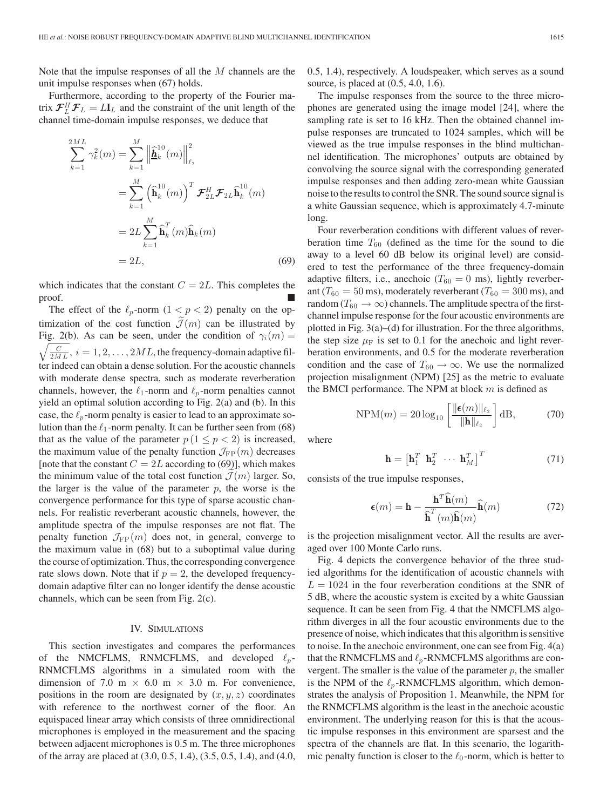Note that the impulse responses of all the M channels are the unit impulse responses when (67) holds.

Furthermore, according to the property of the Fourier matrix  $\mathcal{F}_L^H \mathcal{F}_L = L \mathbf{I}_L$  and the constraint of the unit length of the channel time-domain impulse responses, we deduce that

2

$$
\mathcal{F}_L = L\mathbf{I}_L \text{ and the constraint of the unit length of the time-domain impulse responses, we deduce that}
$$
\n
$$
\sum_{k=1}^{2ML} \gamma_k^2(m) = \sum_{k=1}^M \left\| \hat{\mathbf{h}}_k^{10}(m) \right\|_{\ell_2}^2
$$
\n
$$
= \sum_{k=1}^M \left( \hat{\mathbf{h}}_k^{10}(m) \right)^T \mathcal{F}_{2L}^H \mathcal{F}_{2L} \hat{\mathbf{h}}_k^{10}(m)
$$
\n
$$
= 2L \sum_{k=1}^M \hat{\mathbf{h}}_k^T(m) \hat{\mathbf{h}}_k(m)
$$
\n
$$
= 2L, \qquad (69)
$$

which indicates that the constant  $C = 2L$ . This completes the proof.

The effect of the  $\ell_p$ -norm  $(1 < p < 2)$  penalty on the opproof.<br>The effect of the  $\ell_p$ -norm  $(1 < p < 2)$  penalty on the optimization of the cost function  $\tilde{J}(m)$  can be illustrated by Fig. 2(b). As can be seen, under the condition of  $\gamma_i(m) =$  $\sqrt{\frac{C}{2ML}} ,\, i=1,2,\ldots ,2ML,$  the frequency-domain adaptive filter indeed can obtain a dense solution. For the acoustic channels with moderate dense spectra, such as moderate reverberation channels, however, the  $\ell_1$ -norm and  $\ell_p$ -norm penalties cannot yield an optimal solution according to Fig. 2(a) and (b). In this case, the  $\ell_p$ -norm penalty is easier to lead to an approximate solution than the  $\ell_1$ -norm penalty. It can be further seen from (68) that as the value of the parameter  $p(1 \leq p < 2)$  is increased, the maximum value of the penalty function  $\mathcal{J}_{\text{FP}}(m)$  decreases [note that the constant  $C = 2L$  according to (69)], which makes that as the value of the parameter  $p(1 \le p < 2)$  is increased,<br>the maximum value of the penalty function  $\mathcal{J}_{FP}(m)$  decreases<br>[note that the constant  $C = 2L$  according to (69)], which makes<br>the minimum value of the total the larger is the value of the parameter  $p$ , the worse is the convergence performance for this type of sparse acoustic channels. For realistic reverberant acoustic channels, however, the amplitude spectra of the impulse responses are not flat. The penalty function  $\mathcal{J}_{FP}(m)$  does not, in general, converge to the maximum value in (68) but to a suboptimal value during the course of optimization. Thus, the corresponding convergence rate slows down. Note that if  $p = 2$ , the developed frequencydomain adaptive filter can no longer identify the dense acoustic channels, which can be seen from Fig. 2(c).

## IV. SIMULATIONS

This section investigates and compares the performances of the NMCFLMS, RNMCFLMS, and developed  $\ell_p$ -RNMCFLMS algorithms in a simulated room with the dimension of 7.0 m  $\times$  6.0 m  $\times$  3.0 m. For convenience, positions in the room are designated by  $(x, y, z)$  coordinates with reference to the northwest corner of the floor. An equispaced linear array which consists of three omnidirectional microphones is employed in the measurement and the spacing between adjacent microphones is 0.5 m. The three microphones of the array are placed at (3.0, 0.5, 1.4), (3.5, 0.5, 1.4), and (4.0,

0.5, 1.4), respectively. A loudspeaker, which serves as a sound source, is placed at (0.5, 4.0, 1.6).

The impulse responses from the source to the three microphones are generated using the image model [24], where the sampling rate is set to 16 kHz. Then the obtained channel impulse responses are truncated to 1024 samples, which will be viewed as the true impulse responses in the blind multichannel identification. The microphones' outputs are obtained by convolving the source signal with the corresponding generated impulse responses and then adding zero-mean white Gaussian noise to the results to control the SNR. The sound source signal is a white Gaussian sequence, which is approximately 4.7-minute long.

Four reverberation conditions with different values of reverberation time  $T_{60}$  (defined as the time for the sound to die away to a level 60 dB below its original level) are considered to test the performance of the three frequency-domain adaptive filters, i.e., anechoic ( $T_{60} = 0$  ms), lightly reverberant ( $T_{60} = 50$  ms), moderately reverberant ( $T_{60} = 300$  ms), and random ( $T_{60} \rightarrow \infty$ ) channels. The amplitude spectra of the firstchannel impulse response for the four acoustic environments are plotted in Fig. 3(a)–(d) for illustration. For the three algorithms, the step size  $\mu_F$  is set to 0.1 for the anechoic and light reverberation environments, and 0.5 for the moderate reverberation condition and the case of  $T_{60} \rightarrow \infty$ . We use the normalized projection misalignment (NPM) [25] as the metric to evaluate the BMCI performance. The NPM at block  $m$  is defined as nd the case of  $T_{60} \rightarrow \infty$ <br>nisalignment (NPM) [2]<br>erformance. The NPM<br>NPM(*m*) = 20 log<sub>10</sub> [

$$
NPM(m) = 20 \log_{10} \left[ \frac{\|\boldsymbol{\epsilon}(m)\|_{\ell_2}}{\|\boldsymbol{\mathbf{h}}\|_{\ell_2}} \right] dB,
$$
\n
$$
\mathbf{h} = \left[ \mathbf{h}_1^T \ \mathbf{h}_2^T \ \cdots \ \mathbf{h}_M^T \right]^T
$$
\n(71)

where

$$
\mathbf{h} = \begin{bmatrix} \mathbf{h}_1^T & \mathbf{h}_2^T & \cdots & \mathbf{h}_M^T \end{bmatrix}^T
$$
 (71)

consists of the true impulse responses,

$$
\mathbf{n} = [\mathbf{n}_1 \quad \mathbf{n}_2 \quad \cdots \quad \mathbf{n}_M] \tag{71}
$$
\ntrue impulse responses,

\n
$$
\boldsymbol{\epsilon}(m) = \mathbf{h} - \frac{\mathbf{h}^T \hat{\mathbf{h}}(m)}{\hat{\mathbf{h}}^T(m)\hat{\mathbf{h}}(m)} \hat{\mathbf{h}}(m) \tag{72}
$$

is the projection misalignment vector. All the results are averaged over 100 Monte Carlo runs.

Fig. 4 depicts the convergence behavior of the three studied algorithms for the identification of acoustic channels with  $L = 1024$  in the four reverberation conditions at the SNR of 5 dB, where the acoustic system is excited by a white Gaussian sequence. It can be seen from Fig. 4 that the NMCFLMS algorithm diverges in all the four acoustic environments due to the presence of noise, which indicates that this algorithm is sensitive to noise. In the anechoic environment, one can see from Fig. 4(a) that the RNMCFLMS and  $\ell_p$ -RNMCFLMS algorithms are convergent. The smaller is the value of the parameter  $p$ , the smaller is the NPM of the  $\ell_p$ -RNMCFLMS algorithm, which demonstrates the analysis of Proposition 1. Meanwhile, the NPM for the RNMCFLMS algorithm is the least in the anechoic acoustic environment. The underlying reason for this is that the acoustic impulse responses in this environment are sparsest and the spectra of the channels are flat. In this scenario, the logarithmic penalty function is closer to the  $\ell_0$ -norm, which is better to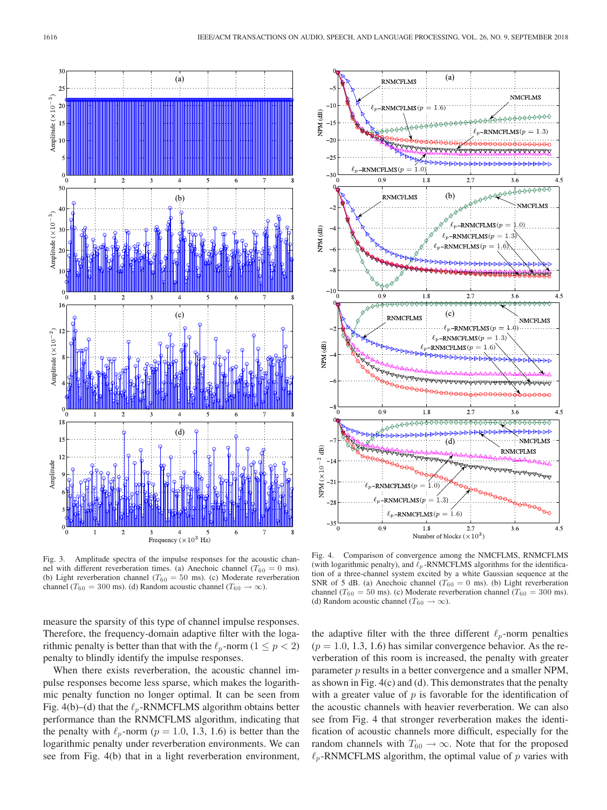

Fig. 3. Amplitude spectra of the impulse responses for the acoustic channel with different reverberation times. (a) Anechoic channel ( $T_{60} = 0$  ms). (b) Light reverberation channel ( $T_{60} = 50$  ms). (c) Moderate reverberation channel ( $T_{60} = 300$  ms). (d) Random acoustic channel ( $T_{60} \rightarrow \infty$ ).

measure the sparsity of this type of channel impulse responses. Therefore, the frequency-domain adaptive filter with the logarithmic penalty is better than that with the  $\ell_p$ -norm ( $1 \le p < 2$ ) penalty to blindly identify the impulse responses.

When there exists reverberation, the acoustic channel impulse responses become less sparse, which makes the logarithmic penalty function no longer optimal. It can be seen from Fig. 4(b)–(d) that the  $\ell_p$ -RNMCFLMS algorithm obtains better performance than the RNMCFLMS algorithm, indicating that the penalty with  $\ell_p$ -norm ( $p = 1.0, 1.3, 1.6$ ) is better than the logarithmic penalty under reverberation environments. We can see from Fig. 4(b) that in a light reverberation environment,



Fig. 4. Comparison of convergence among the NMCFLMS, RNMCFLMS (with logarithmic penalty), and  $\ell_p$ -RNMCFLMS algorithms for the identification of a three-channel system excited by a white Gaussian sequence at the SNR of 5 dB. (a) Anechoic channel ( $T_{60} = 0$  ms). (b) Light reverberation channel ( $T_{60} = 50$  ms). (c) Moderate reverberation channel ( $T_{60} = 300$  ms). (d) Random acoustic channel ( $T_{60} \rightarrow \infty$ ).

the adaptive filter with the three different  $\ell_p$ -norm penalties  $(p = 1.0, 1.3, 1.6)$  has similar convergence behavior. As the reverberation of this room is increased, the penalty with greater parameter p results in a better convergence and a smaller NPM, as shown in Fig. 4(c) and (d). This demonstrates that the penalty with a greater value of  $p$  is favorable for the identification of the acoustic channels with heavier reverberation. We can also see from Fig. 4 that stronger reverberation makes the identification of acoustic channels more difficult, especially for the random channels with  $T_{60} \rightarrow \infty$ . Note that for the proposed  $\ell_p$ -RNMCFLMS algorithm, the optimal value of p varies with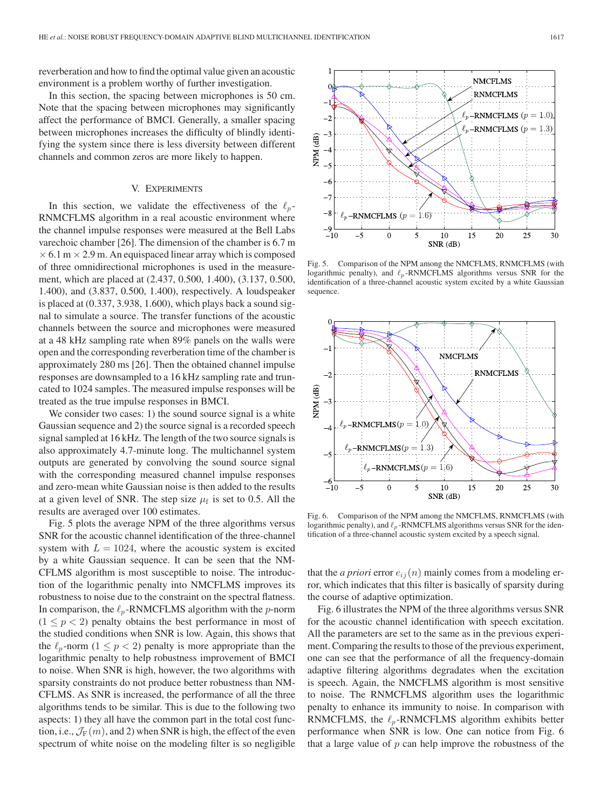reverberation and how to find the optimal value given an acoustic environment is a problem worthy of further investigation.

In this section, the spacing between microphones is 50 cm. Note that the spacing between microphones may significantly affect the performance of BMCI. Generally, a smaller spacing between microphones increases the difficulty of blindly identifying the system since there is less diversity between different channels and common zeros are more likely to happen.

## V. EXPERIMENTS

In this section, we validate the effectiveness of the  $\ell_p$ -RNMCFLMS algorithm in a real acoustic environment where the channel impulse responses were measured at the Bell Labs varechoic chamber [26]. The dimension of the chamber is 6.7 m  $\times$  6.1 m  $\times$  2.9 m. An equispaced linear array which is composed of three omnidirectional microphones is used in the measurement, which are placed at (2.437, 0.500, 1.400), (3.137, 0.500, 1.400), and (3.837, 0.500, 1.400), respectively. A loudspeaker is placed at (0.337, 3.938, 1.600), which plays back a sound signal to simulate a source. The transfer functions of the acoustic channels between the source and microphones were measured at a 48 kHz sampling rate when 89% panels on the walls were open and the corresponding reverberation time of the chamber is approximately 280 ms [26]. Then the obtained channel impulse responses are downsampled to a 16 kHz sampling rate and truncated to 1024 samples. The measured impulse responses will be treated as the true impulse responses in BMCI.

We consider two cases: 1) the sound source signal is a white Gaussian sequence and 2) the source signal is a recorded speech signal sampled at 16 kHz. The length of the two source signals is also approximately 4.7-minute long. The multichannel system outputs are generated by convolving the sound source signal with the corresponding measured channel impulse responses and zero-mean white Gaussian noise is then added to the results at a given level of SNR. The step size  $\mu_f$  is set to 0.5. All the results are averaged over 100 estimates.

Fig. 5 plots the average NPM of the three algorithms versus SNR for the acoustic channel identification of the three-channel system with  $L = 1024$ , where the acoustic system is excited by a white Gaussian sequence. It can be seen that the NM-CFLMS algorithm is most susceptible to noise. The introduction of the logarithmic penalty into NMCFLMS improves its robustness to noise due to the constraint on the spectral flatness. In comparison, the  $\ell_p$ -RNMCFLMS algorithm with the p-norm  $(1 \leq p < 2)$  penalty obtains the best performance in most of the studied conditions when SNR is low. Again, this shows that the  $\ell_p$ -norm  $(1 \le p < 2)$  penalty is more appropriate than the logarithmic penalty to help robustness improvement of BMCI to noise. When SNR is high, however, the two algorithms with sparsity constraints do not produce better robustness than NM-CFLMS. As SNR is increased, the performance of all the three algorithms tends to be similar. This is due to the following two aspects: 1) they all have the common part in the total cost function, i.e.,  $\mathcal{J}_{F}(m)$ , and 2) when SNR is high, the effect of the even spectrum of white noise on the modeling filter is so negligible



Fig. 5. Comparison of the NPM among the NMCFLMS, RNMCFLMS (with logarithmic penalty), and  $\ell_p$ -RNMCFLMS algorithms versus SNR for the identification of a three-channel acoustic system excited by a white Gaussian sequence.



Fig. 6. Comparison of the NPM among the NMCFLMS, RNMCFLMS (with logarithmic penalty), and  $\ell_p$ -RNMCFLMS algorithms versus SNR for the identification of a three-channel acoustic system excited by a speech signal.

that the *a priori* error  $e_{ij}(n)$  mainly comes from a modeling error, which indicates that this filter is basically of sparsity during the course of adaptive optimization.

Fig. 6 illustrates the NPM of the three algorithms versus SNR for the acoustic channel identification with speech excitation. All the parameters are set to the same as in the previous experiment. Comparing the results to those of the previous experiment, one can see that the performance of all the frequency-domain adaptive filtering algorithms degradates when the excitation is speech. Again, the NMCFLMS algorithm is most sensitive to noise. The RNMCFLMS algorithm uses the logarithmic penalty to enhance its immunity to noise. In comparison with RNMCFLMS, the  $\ell_p$ -RNMCFLMS algorithm exhibits better performance when SNR is low. One can notice from Fig. 6 that a large value of  $p$  can help improve the robustness of the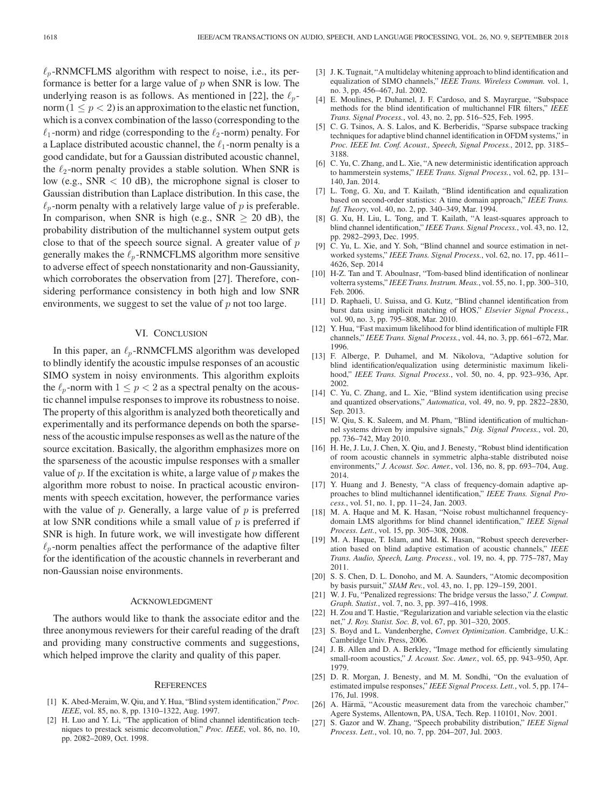$\ell_p$ -RNMCFLMS algorithm with respect to noise, i.e., its performance is better for a large value of  $p$  when SNR is low. The underlying reason is as follows. As mentioned in [22], the  $\ell_p$ norm  $(1 \le p < 2)$  is an approximation to the elastic net function, which is a convex combination of the lasso (corresponding to the  $\ell_1$ -norm) and ridge (corresponding to the  $\ell_2$ -norm) penalty. For a Laplace distributed acoustic channel, the  $\ell_1$ -norm penalty is a good candidate, but for a Gaussian distributed acoustic channel, the  $\ell_2$ -norm penalty provides a stable solution. When SNR is low (e.g.,  $SNR < 10$  dB), the microphone signal is closer to Gaussian distribution than Laplace distribution. In this case, the  $\ell_p$ -norm penalty with a relatively large value of p is preferable. In comparison, when SNR is high (e.g., SNR  $\geq$  20 dB), the probability distribution of the multichannel system output gets close to that of the speech source signal. A greater value of  $p$ generally makes the  $\ell_p$ -RNMCFLMS algorithm more sensitive to adverse effect of speech nonstationarity and non-Gaussianity, which corroborates the observation from [27]. Therefore, considering performance consistency in both high and low SNR environments, we suggest to set the value of  $p$  not too large.

## VI. CONCLUSION

In this paper, an  $\ell_p$ -RNMCFLMS algorithm was developed to blindly identify the acoustic impulse responses of an acoustic SIMO system in noisy environments. This algorithm exploits the  $\ell_p$ -norm with  $1 \le p < 2$  as a spectral penalty on the acoustic channel impulse responses to improve its robustness to noise. The property of this algorithm is analyzed both theoretically and experimentally and its performance depends on both the sparseness of the acoustic impulse responses as well as the nature of the source excitation. Basically, the algorithm emphasizes more on the sparseness of the acoustic impulse responses with a smaller value of  $p$ . If the excitation is white, a large value of  $p$  makes the algorithm more robust to noise. In practical acoustic environments with speech excitation, however, the performance varies with the value of  $p$ . Generally, a large value of  $p$  is preferred at low SNR conditions while a small value of  $p$  is preferred if SNR is high. In future work, we will investigate how different  $\ell_p$ -norm penalties affect the performance of the adaptive filter for the identification of the acoustic channels in reverberant and non-Gaussian noise environments.

#### ACKNOWLEDGMENT

The authors would like to thank the associate editor and the three anonymous reviewers for their careful reading of the draft and providing many constructive comments and suggestions, which helped improve the clarity and quality of this paper.

#### **REFERENCES**

- [1] K. Abed-Meraim, W. Qiu, and Y. Hua, "Blind system identification," *Proc. IEEE*, vol. 85, no. 8, pp. 1310–1322, Aug. 1997.
- [2] H. Luo and Y. Li, "The application of blind channel identification techniques to prestack seismic deconvolution," *Proc. IEEE*, vol. 86, no. 10, pp. 2082–2089, Oct. 1998.
- [3] J. K. Tugnait, "A multidelay whitening approach to blind identification and equalization of SIMO channels," *IEEE Trans. Wireless Commun.* vol. 1, no. 3, pp. 456–467, Jul. 2002.
- [4] E. Moulines, P. Duhamel, J. F. Cardoso, and S. Mayrargue, "Subspace methods for the blind identification of multichannel FIR filters," *IEEE Trans. Signal Process.*, vol. 43, no. 2, pp. 516–525, Feb. 1995.
- [5] C. G. Tsinos, A. S. Lalos, and K. Berberidis, "Sparse subspace tracking techniques for adaptive blind channel identification in OFDM systems," in *Proc. IEEE Int. Conf. Acoust., Speech, Signal Process.*, 2012, pp. 3185– 3188.
- [6] C. Yu, C. Zhang, and L. Xie, "A new deterministic identification approach to hammerstein systems," *IEEE Trans. Signal Process.*, vol. 62, pp. 131– 140, Jan. 2014.
- [7] L. Tong, G. Xu, and T. Kailath, "Blind identification and equalization based on second-order statistics: A time domain approach," *IEEE Trans. Inf. Theory*, vol. 40, no. 2, pp. 340–349, Mar. 1994.
- [8] G. Xu, H. Liu, L. Tong, and T. Kailath, "A least-squares approach to blind channel identification," *IEEE Trans. Signal Process.*, vol. 43, no. 12, pp. 2982–2993, Dec. 1995.
- [9] C. Yu, L. Xie, and Y. Soh, "Blind channel and source estimation in networked systems," *IEEE Trans. Signal Process.*, vol. 62, no. 17, pp. 4611– 4626, Sep. 2014
- [10] H-Z. Tan and T. Aboulnasr, "Tom-based blind identification of nonlinear volterra systems," *IEEE Trans. Instrum. Meas.*, vol. 55, no. 1, pp. 300–310, Feb. 2006.
- [11] D. Raphaeli, U. Suissa, and G. Kutz, "Blind channel identification from burst data using implicit matching of HOS," *Elsevier Signal Process.*, vol. 90, no. 3, pp. 795–808, Mar. 2010.
- [12] Y. Hua, "Fast maximum likelihood for blind identification of multiple FIR channels," *IEEE Trans. Signal Process.*, vol. 44, no. 3, pp. 661–672, Mar. 1996.
- [13] F. Alberge, P. Duhamel, and M. Nikolova, "Adaptive solution for blind identification/equalization using deterministic maximum likelihood," *IEEE Trans. Signal Process.*, vol. 50, no. 4, pp. 923–936, Apr. 2002.
- [14] C. Yu, C. Zhang, and L. Xie, "Blind system identification using precise and quantized observations," *Automatica*, vol. 49, no. 9, pp. 2822–2830, Sep. 2013.
- [15] W. Qiu, S. K. Saleem, and M. Pham, "Blind identification of multichannel systems driven by impulsive signals," *Dig. Signal Process.*, vol. 20, pp. 736–742, May 2010.
- [16] H. He, J. Lu, J. Chen, X. Qiu, and J. Benesty, "Robust blind identification of room acoustic channels in symmetric alpha-stable distributed noise environments," *J. Acoust. Soc. Amer.*, vol. 136, no. 8, pp. 693–704, Aug. 2014.
- [17] Y. Huang and J. Benesty, "A class of frequency-domain adaptive approaches to blind multichannel identification," *IEEE Trans. Signal Process.*, vol. 51, no. 1, pp. 11–24, Jan. 2003.
- [18] M. A. Haque and M. K. Hasan, "Noise robust multichannel frequencydomain LMS algorithms for blind channel identification," *IEEE Signal Process. Lett.*, vol. 15, pp. 305–308, 2008.
- [19] M. A. Haque, T. Islam, and Md. K. Hasan, "Robust speech dereverberation based on blind adaptive estimation of acoustic channels," *IEEE Trans. Audio, Speech, Lang. Process.*, vol. 19, no. 4, pp. 775–787, May 2011.
- [20] S. S. Chen, D. L. Donoho, and M. A. Saunders, "Atomic decomposition by basis pursuit," *SIAM Rev.*, vol. 43, no. 1, pp. 129–159, 2001.
- [21] W. J. Fu, "Penalized regressions: The bridge versus the lasso," *J. Comput. Graph. Statist.*, vol. 7, no. 3, pp. 397–416, 1998.
- [22] H. Zou and T. Hastie, "Regularization and variable selection via the elastic net," *J. Roy. Statist. Soc. B*, vol. 67, pp. 301–320, 2005.
- [23] S. Boyd and L. Vandenberghe, *Convex Optimization*. Cambridge, U.K.: Cambridge Univ. Press, 2006.
- [24] J. B. Allen and D. A. Berkley, "Image method for efficiently simulating small-room acoustics," *J. Acoust. Soc. Amer.*, vol. 65, pp. 943–950, Apr. 1979.
- [25] D. R. Morgan, J. Benesty, and M. M. Sondhi, "On the evaluation of estimated impulse responses," *IEEE Signal Process. Lett.*, vol. 5, pp. 174– 176, Jul. 1998.
- [26] A. Härmä, "Acoustic measurement data from the varechoic chamber," Agere Systems, Allentown, PA, USA, Tech. Rep. 110101, Nov. 2001.
- [27] S. Gazor and W. Zhang, "Speech probability distribution," *IEEE Signal Process. Lett.*, vol. 10, no. 7, pp. 204–207, Jul. 2003.